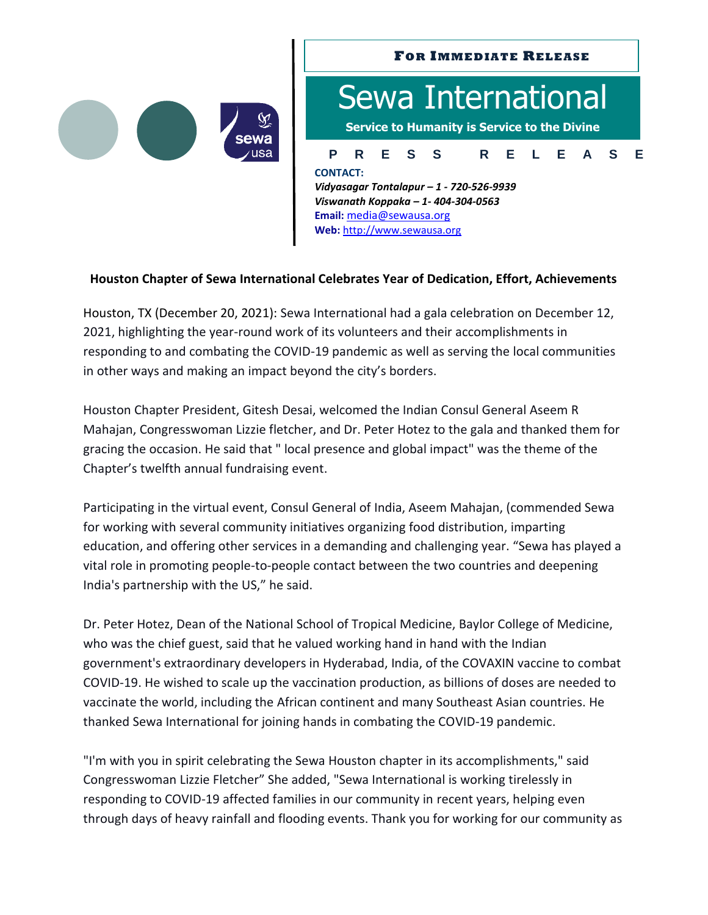

## **FOR IMMEDIATE RELEASE**

# **P R E S S R E L E A S E** Sewa International **Service to Humanity is Service to the Divine CONTACT:** *Vidyasagar Tontalapur – 1 - 720-526-9939 Viswanath Koppaka – 1- 404-304-0563*

**Email:** [media@sewausa.org](mailto:dr@sewausa.org) **Web:** [http://www.sewausa.org](http://www.sewausa.org/)

## **Houston Chapter of Sewa International Celebrates Year of Dedication, Effort, Achievements**

Houston, TX (December 20, 2021): Sewa International had a gala celebration on December 12, 2021, highlighting the year-round work of its volunteers and their accomplishments in responding to and combating the COVID-19 pandemic as well as serving the local communities in other ways and making an impact beyond the city's borders.

Houston Chapter President, Gitesh Desai, welcomed the Indian Consul General Aseem R Mahajan, Congresswoman Lizzie fletcher, and Dr. Peter Hotez to the gala and thanked them for gracing the occasion. He said that " local presence and global impact" was the theme of the Chapter's twelfth annual fundraising event.

Participating in the virtual event, Consul General of India, Aseem Mahajan, (commended Sewa for working with several community initiatives organizing food distribution, imparting education, and offering other services in a demanding and challenging year. "Sewa has played a vital role in promoting people-to-people contact between the two countries and deepening India's partnership with the US," he said.

Dr. Peter Hotez, Dean of the National School of Tropical Medicine, Baylor College of Medicine, who was the chief guest, said that he valued working hand in hand with the Indian government's extraordinary developers in Hyderabad, India, of the COVAXIN vaccine to combat COVID-19. He wished to scale up the vaccination production, as billions of doses are needed to vaccinate the world, including the African continent and many Southeast Asian countries. He thanked Sewa International for joining hands in combating the COVID-19 pandemic.

"I'm with you in spirit celebrating the Sewa Houston chapter in its accomplishments," said Congresswoman Lizzie Fletcher" She added, "Sewa International is working tirelessly in responding to COVID-19 affected families in our community in recent years, helping even through days of heavy rainfall and flooding events. Thank you for working for our community as